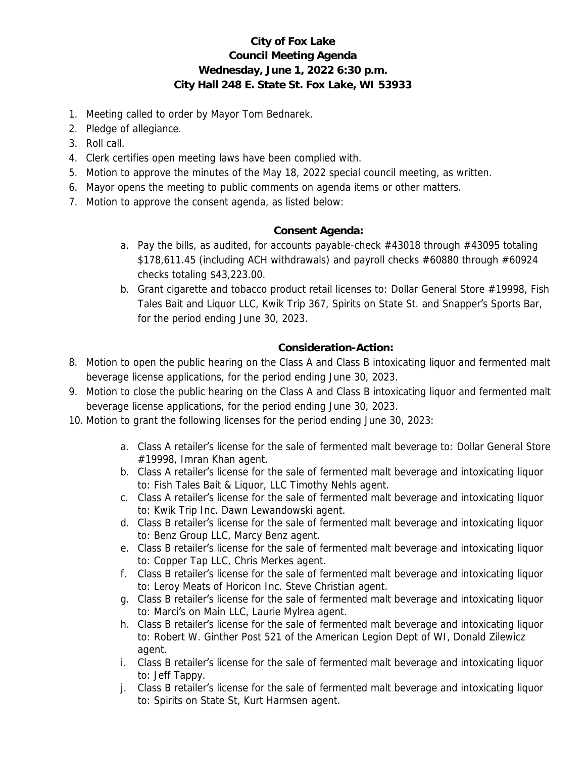## **City of Fox Lake Council Meeting Agenda Wednesday, June 1, 2022 6:30 p.m. City Hall 248 E. State St. Fox Lake, WI 53933**

- 1. Meeting called to order by Mayor Tom Bednarek.
- 2. Pledge of allegiance.
- 3. Roll call.
- 4. Clerk certifies open meeting laws have been complied with.
- 5. Motion to approve the minutes of the May 18, 2022 special council meeting, as written.
- 6. Mayor opens the meeting to public comments on agenda items or other matters.
- 7. Motion to approve the consent agenda, as listed below:

## **Consent Agenda:**

- a. Pay the bills, as audited, for accounts payable-check #43018 through #43095 totaling \$178,611.45 (including ACH withdrawals) and payroll checks #60880 through #60924 checks totaling \$43,223.00.
- b. Grant cigarette and tobacco product retail licenses to: Dollar General Store #19998, Fish Tales Bait and Liquor LLC, Kwik Trip 367, Spirits on State St. and Snapper's Sports Bar, for the period ending June 30, 2023.

## **Consideration-Action:**

- 8. Motion to open the public hearing on the Class A and Class B intoxicating liquor and fermented malt beverage license applications, for the period ending June 30, 2023.
- 9. Motion to close the public hearing on the Class A and Class B intoxicating liquor and fermented malt beverage license applications, for the period ending June 30, 2023.
- 10. Motion to grant the following licenses for the period ending June 30, 2023:
	- a. Class A retailer's license for the sale of fermented malt beverage to: Dollar General Store #19998, Imran Khan agent.
	- b. Class A retailer's license for the sale of fermented malt beverage and intoxicating liquor to: Fish Tales Bait & Liquor, LLC Timothy Nehls agent.
	- c. Class A retailer's license for the sale of fermented malt beverage and intoxicating liquor to: Kwik Trip Inc. Dawn Lewandowski agent.
	- d. Class B retailer's license for the sale of fermented malt beverage and intoxicating liquor to: Benz Group LLC, Marcy Benz agent.
	- e. Class B retailer's license for the sale of fermented malt beverage and intoxicating liquor to: Copper Tap LLC, Chris Merkes agent.
	- f. Class B retailer's license for the sale of fermented malt beverage and intoxicating liquor to: Leroy Meats of Horicon Inc. Steve Christian agent.
	- g. Class B retailer's license for the sale of fermented malt beverage and intoxicating liquor to: Marci's on Main LLC, Laurie Mylrea agent.
	- h. Class B retailer's license for the sale of fermented malt beverage and intoxicating liquor to: Robert W. Ginther Post 521 of the American Legion Dept of WI, Donald Zilewicz agent.
	- i. Class B retailer's license for the sale of fermented malt beverage and intoxicating liquor to: Jeff Tappy.
	- j. Class B retailer's license for the sale of fermented malt beverage and intoxicating liquor to: Spirits on State St, Kurt Harmsen agent.